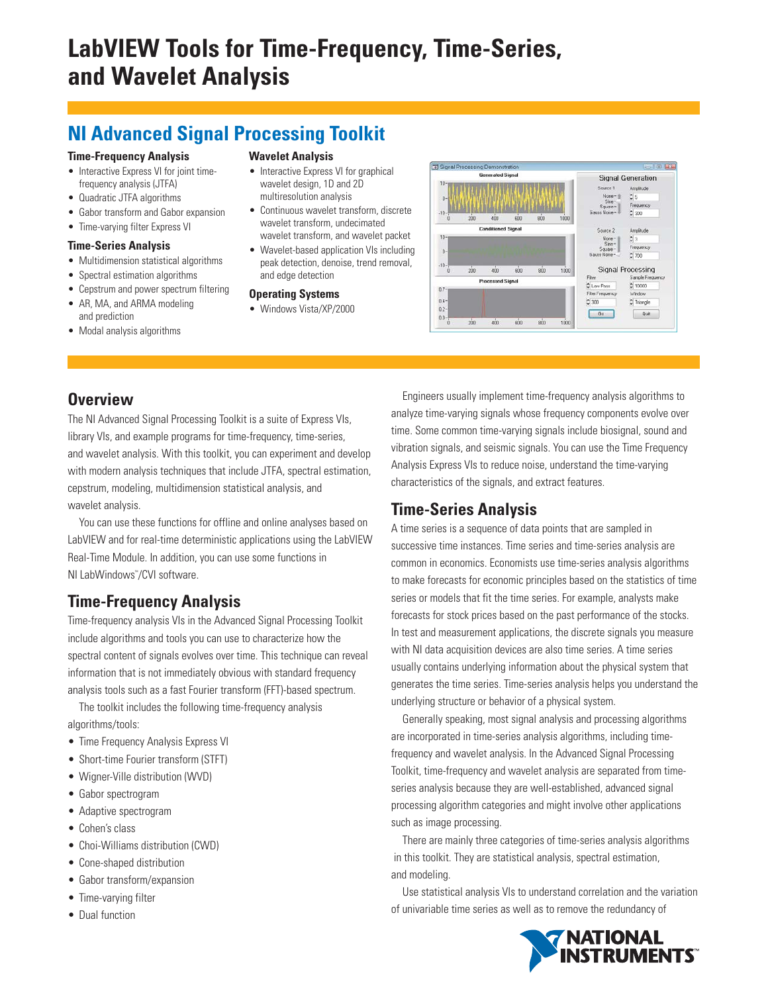# **LabVIEW Tools for Time-Frequency, Time-Series, and Wavelet Analysis**

# **NI Advanced Signal Processing Toolkit**

#### **Time-Frequency Analysis**

- Interactive Express VI for joint timefrequency analysis (JTFA)
- Quadratic JTFA algorithms
- Gabor transform and Gabor expansion
- Time-varying filter Express VI

#### **Time-Series Analysis**

- Multidimension statistical algorithms
- Spectral estimation algorithms
- Cepstrum and power spectrum filtering
- AR, MA, and ARMA modeling and prediction
- Modal analysis algorithms

#### **Wavelet Analysis**

- Interactive Express VI for graphical wavelet design, 1D and 2D multiresolution analysis
- Continuous wavelet transform, discrete wavelet transform, undecimated wavelet transform, and wavelet packet
- Wavelet-based application VIs including peak detection, denoise, trend removal, and edge detection

#### **Operating Systems**

• Windows Vista/XP/2000



## **Overview**

The NI Advanced Signal Processing Toolkit is a suite of Express VIs, library VIs, and example programs for time-frequency, time-series, and wavelet analysis. With this toolkit, you can experiment and develop with modern analysis techniques that include JTFA, spectral estimation, cepstrum, modeling, multidimension statistical analysis, and wavelet analysis.

You can use these functions for offline and online analyses based on LabVIEW and for real-time deterministic applications using the LabVIEW Real-Time Module. In addition, you can use some functions in NI LabWindows™ /CVI software.

# **Time-Frequency Analysis**

Time-frequency analysis VIs in the Advanced Signal Processing Toolkit include algorithms and tools you can use to characterize how the spectral content of signals evolves over time. This technique can reveal information that is not immediately obvious with standard frequency analysis tools such as a fast Fourier transform (FFT)-based spectrum.

The toolkit includes the following time-frequency analysis algorithms/tools:

- Time Frequency Analysis Express VI
- Short-time Fourier transform (STFT)
- Wigner-Ville distribution (WVD)
- Gabor spectrogram
- Adaptive spectrogram
- Cohen's class
- Choi-Williams distribution (CWD)
- Cone-shaped distribution
- Gabor transform/expansion
- Time-varying filter
- Dual function

Engineers usually implement time-frequency analysis algorithms to analyze time-varying signals whose frequency components evolve over time. Some common time-varying signals include biosignal, sound and vibration signals, and seismic signals. You can use the Time Frequency Analysis Express VIs to reduce noise, understand the time-varying characteristics of the signals, and extract features.

## **Time-Series Analysis**

A time series is a sequence of data points that are sampled in successive time instances. Time series and time-series analysis are common in economics. Economists use time-series analysis algorithms to make forecasts for economic principles based on the statistics of time series or models that fit the time series. For example, analysts make forecasts for stock prices based on the past performance of the stocks. In test and measurement applications, the discrete signals you measure with NI data acquisition devices are also time series. A time series usually contains underlying information about the physical system that generates the time series. Time-series analysis helps you understand the underlying structure or behavior of a physical system.

Generally speaking, most signal analysis and processing algorithms are incorporated in time-series analysis algorithms, including timefrequency and wavelet analysis. In the Advanced Signal Processing Toolkit, time-frequency and wavelet analysis are separated from timeseries analysis because they are well-established, advanced signal processing algorithm categories and might involve other applications such as image processing.

There are mainly three categories of time-series analysis algorithms in this toolkit. They are statistical analysis, spectral estimation, and modeling.

Use statistical analysis VIs to understand correlation and the variation of univariable time series as well as to remove the redundancy of

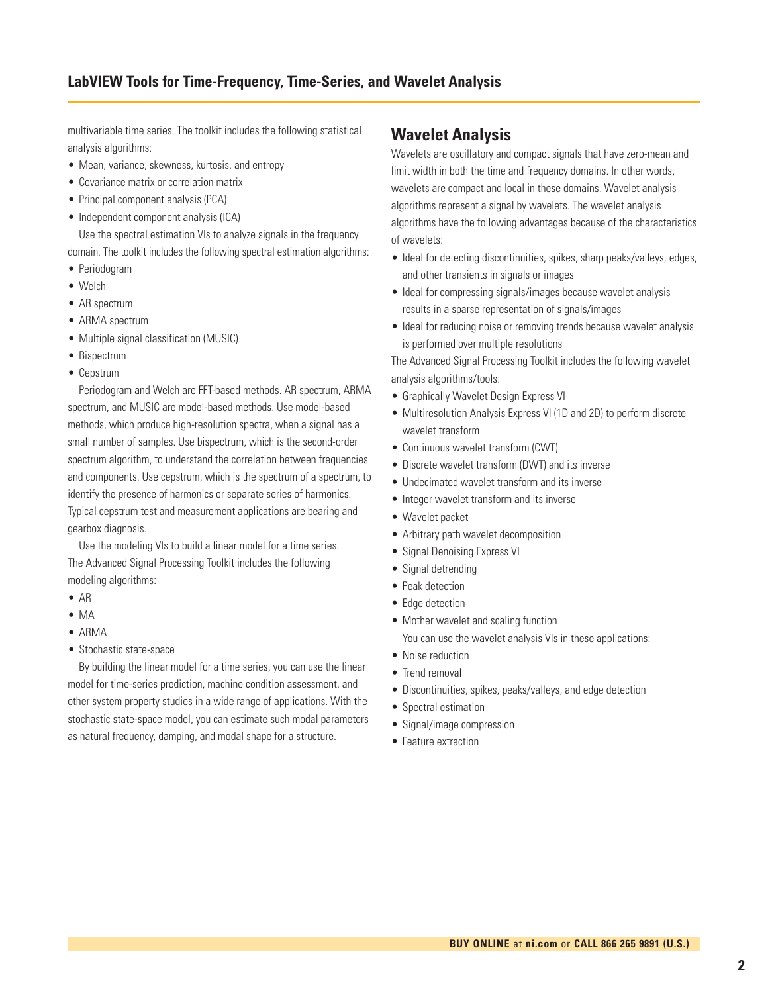multivariable time series. The toolkit includes the following statistical analysis algorithms:

- Mean, variance, skewness, kurtosis, and entropy
- Covariance matrix or correlation matrix
- Principal component analysis (PCA)
- Independent component analysis (ICA)

Use the spectral estimation VIs to analyze signals in the frequency domain. The toolkit includes the following spectral estimation algorithms:

- Periodogram
- Welch
- AR spectrum
- ARMA spectrum
- Multiple signal classification (MUSIC)
- Bispectrum
- Cepstrum

Periodogram and Welch are FFT-based methods. AR spectrum, ARMA spectrum, and MUSIC are model-based methods. Use model-based methods, which produce high-resolution spectra, when a signal has a small number of samples. Use bispectrum, which is the second-order spectrum algorithm, to understand the correlation between frequencies and components. Use cepstrum, which is the spectrum of a spectrum, to identify the presence of harmonics or separate series of harmonics. Typical cepstrum test and measurement applications are bearing and gearbox diagnosis.

Use the modeling VIs to build a linear model for a time series. The Advanced Signal Processing Toolkit includes the following modeling algorithms:

- AR
- MA
- ARMA
- Stochastic state-space

By building the linear model for a time series, you can use the linear model for time-series prediction, machine condition assessment, and other system property studies in a wide range of applications. With the stochastic state-space model, you can estimate such modal parameters as natural frequency, damping, and modal shape for a structure.

## **Wavelet Analysis**

Wavelets are oscillatory and compact signals that have zero-mean and limit width in both the time and frequency domains. In other words, wavelets are compact and local in these domains. Wavelet analysis algorithms represent a signal by wavelets. The wavelet analysis algorithms have the following advantages because of the characteristics of wavelets:

- Ideal for detecting discontinuities, spikes, sharp peaks/valleys, edges, and other transients in signals or images
- Ideal for compressing signals/images because wavelet analysis results in a sparse representation of signals/images
- Ideal for reducing noise or removing trends because wavelet analysis is performed over multiple resolutions

The Advanced Signal Processing Toolkit includes the following wavelet analysis algorithms/tools:

- Graphically Wavelet Design Express VI
- Multiresolution Analysis Express VI (1D and 2D) to perform discrete wavelet transform
- Continuous wavelet transform (CWT)
- Discrete wavelet transform (DWT) and its inverse
- Undecimated wavelet transform and its inverse
- Integer wavelet transform and its inverse
- Wavelet packet
- Arbitrary path wavelet decomposition
- Signal Denoising Express VI
- Signal detrending
- Peak detection
- Edge detection
- Mother wavelet and scaling function
	- You can use the wavelet analysis VIs in these applications:
- Noise reduction
- Trend removal
- Discontinuities, spikes, peaks/valleys, and edge detection
- Spectral estimation
- Signal/image compression
- Feature extraction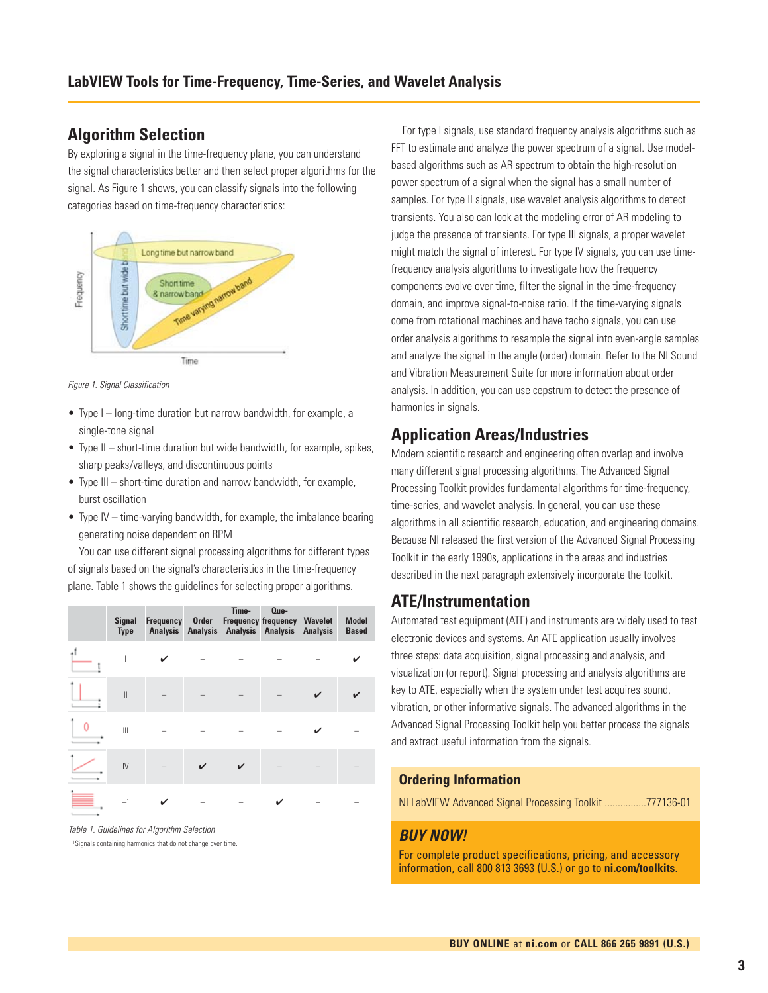### **Algorithm Selection**

By exploring a signal in the time-frequency plane, you can understand the signal characteristics better and then select proper algorithms for the signal. As Figure 1 shows, you can classify signals into the following categories based on time-frequency characteristics:



Figure 1. Signal Classification

- Type I long-time duration but narrow bandwidth, for example, a single-tone signal
- Type II short-time duration but wide bandwidth, for example, spikes, sharp peaks/valleys, and discontinuous points
- Type III short-time duration and narrow bandwidth, for example, burst oscillation
- Type IV time-varying bandwidth, for example, the imbalance bearing generating noise dependent on RPM

You can use different signal processing algorithms for different types of signals based on the signal's characteristics in the time-frequency plane. Table 1 shows the guidelines for selecting proper algorithms.

| <b>Signal</b><br><b>Type</b> | Frequency | Order | Time-<br><b>Frequency frequency</b><br>Analysis Analysis Analysis Analysis | Que- | Wavelet<br><b>Analysis</b> | <b>Model</b><br><b>Based</b> |
|------------------------------|-----------|-------|----------------------------------------------------------------------------|------|----------------------------|------------------------------|
|                              |           |       |                                                                            |      |                            |                              |
| $\mathbf{I}$                 |           |       |                                                                            |      |                            |                              |
| $\parallel$                  |           |       |                                                                            |      |                            |                              |
| IV                           |           |       |                                                                            |      |                            |                              |
|                              |           |       |                                                                            |      |                            |                              |

Table 1. Guidelines for Algorithm Selection

1Signals containing harmonics that do not change over time.

For type I signals, use standard frequency analysis algorithms such as FFT to estimate and analyze the power spectrum of a signal. Use modelbased algorithms such as AR spectrum to obtain the high-resolution power spectrum of a signal when the signal has a small number of samples. For type II signals, use wavelet analysis algorithms to detect transients. You also can look at the modeling error of AR modeling to judge the presence of transients. For type III signals, a proper wavelet might match the signal of interest. For type IV signals, you can use timefrequency analysis algorithms to investigate how the frequency components evolve over time, filter the signal in the time-frequency domain, and improve signal-to-noise ratio. If the time-varying signals come from rotational machines and have tacho signals, you can use order analysis algorithms to resample the signal into even-angle samples and analyze the signal in the angle (order) domain. Refer to the NI Sound and Vibration Measurement Suite for more information about order analysis. In addition, you can use cepstrum to detect the presence of harmonics in signals.

## **Application Areas/Industries**

Modern scientific research and engineering often overlap and involve many different signal processing algorithms. The Advanced Signal Processing Toolkit provides fundamental algorithms for time-frequency, time-series, and wavelet analysis. In general, you can use these algorithms in all scientific research, education, and engineering domains. Because NI released the first version of the Advanced Signal Processing Toolkit in the early 1990s, applications in the areas and industries described in the next paragraph extensively incorporate the toolkit.

### **ATE/Instrumentation**

Automated test equipment (ATE) and instruments are widely used to test electronic devices and systems. An ATE application usually involves three steps: data acquisition, signal processing and analysis, and visualization (or report). Signal processing and analysis algorithms are key to ATE, especially when the system under test acquires sound, vibration, or other informative signals. The advanced algorithms in the Advanced Signal Processing Toolkit help you better process the signals and extract useful information from the signals.

#### **Ordering Information**

NI LabVIEW Advanced Signal Processing Toolkit ................777136-01

#### **BUY NOW!**

For complete product specifications, pricing, and accessory information, call 800 813 3693 (U.S.) or go to **ni.com/toolkits**.